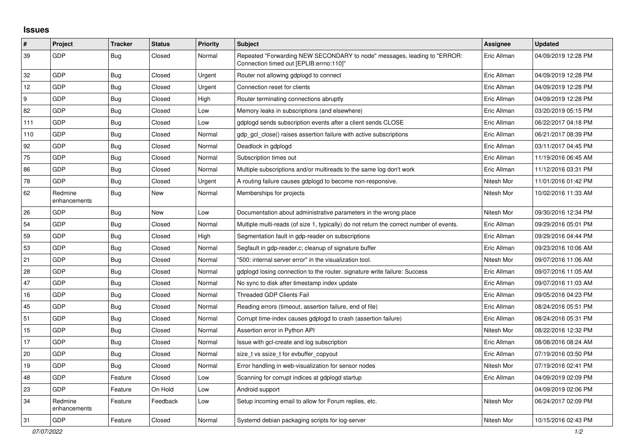## **Issues**

| $\vert$ # | Project                 | <b>Tracker</b> | <b>Status</b> | <b>Priority</b> | <b>Subject</b>                                                                                                      | Assignee    | <b>Updated</b>      |
|-----------|-------------------------|----------------|---------------|-----------------|---------------------------------------------------------------------------------------------------------------------|-------------|---------------------|
| 39        | GDP                     | <b>Bug</b>     | Closed        | Normal          | Repeated "Forwarding NEW SECONDARY to node" messages, leading to "ERROR:<br>"Connection timed out [EPLIB:errno:110] | Eric Allman | 04/09/2019 12:28 PM |
| 32        | GDP                     | <b>Bug</b>     | Closed        | Urgent          | Router not allowing gdplogd to connect                                                                              | Eric Allman | 04/09/2019 12:28 PM |
| 12        | GDP                     | Bug            | Closed        | Urgent          | Connection reset for clients                                                                                        | Eric Allman | 04/09/2019 12:28 PM |
| 9         | GDP                     | Bug            | Closed        | High            | Router terminating connections abruptly                                                                             | Eric Allman | 04/09/2019 12:28 PM |
| 82        | GDP                     | Bug            | Closed        | Low             | Memory leaks in subscriptions (and elsewhere)                                                                       | Eric Allman | 03/20/2019 05:15 PM |
| 111       | GDP                     | Bug            | Closed        | Low             | gdplogd sends subscription events after a client sends CLOSE                                                        | Eric Allman | 06/22/2017 04:18 PM |
| 110       | GDP                     | <b>Bug</b>     | Closed        | Normal          | gdp_gcl_close() raises assertion failure with active subscriptions                                                  | Eric Allman | 06/21/2017 08:39 PM |
| 92        | GDP                     | Bug            | Closed        | Normal          | Deadlock in gdplogd                                                                                                 | Eric Allman | 03/11/2017 04:45 PM |
| 75        | <b>GDP</b>              | Bug            | Closed        | Normal          | Subscription times out                                                                                              | Eric Allman | 11/19/2016 06:45 AM |
| 86        | GDP                     | <b>Bug</b>     | Closed        | Normal          | Multiple subscriptions and/or multireads to the same log don't work                                                 | Eric Allman | 11/12/2016 03:31 PM |
| 78        | <b>GDP</b>              | <b>Bug</b>     | Closed        | Urgent          | A routing failure causes gdplogd to become non-responsive.                                                          | Nitesh Mor  | 11/01/2016 01:42 PM |
| 62        | Redmine<br>enhancements | <b>Bug</b>     | New           | Normal          | Memberships for projects                                                                                            | Nitesh Mor  | 10/02/2016 11:33 AM |
| 26        | GDP                     | <b>Bug</b>     | New           | Low             | Documentation about administrative parameters in the wrong place                                                    | Nitesh Mor  | 09/30/2016 12:34 PM |
| 54        | GDP                     | Bug            | Closed        | Normal          | Multiple multi-reads (of size 1, typically) do not return the correct number of events.                             | Eric Allman | 09/29/2016 05:01 PM |
| 59        | GDP                     | <b>Bug</b>     | Closed        | High            | Segmentation fault in gdp-reader on subscriptions                                                                   | Eric Allman | 09/29/2016 04:44 PM |
| 53        | GDP                     | Bug            | Closed        | Normal          | Segfault in gdp-reader.c; cleanup of signature buffer                                                               | Eric Allman | 09/23/2016 10:06 AM |
| 21        | GDP                     | Bug            | Closed        | Normal          | "500: internal server error" in the visualization tool.                                                             | Nitesh Mor  | 09/07/2016 11:06 AM |
| 28        | GDP                     | <b>Bug</b>     | Closed        | Normal          | gdplogd losing connection to the router, signature write failure: Success                                           | Eric Allman | 09/07/2016 11:05 AM |
| 47        | GDP                     | Bug            | Closed        | Normal          | No sync to disk after timestamp index update                                                                        | Eric Allman | 09/07/2016 11:03 AM |
| 16        | GDP                     | <b>Bug</b>     | Closed        | Normal          | <b>Threaded GDP Clients Fail</b>                                                                                    | Eric Allman | 09/05/2016 04:23 PM |
| 45        | GDP                     | Bug            | Closed        | Normal          | Reading errors (timeout, assertion failure, end of file)                                                            | Eric Allman | 08/24/2016 05:51 PM |
| 51        | <b>GDP</b>              | Bug            | Closed        | Normal          | Corrupt time-index causes gdplogd to crash (assertion failure)                                                      | Eric Allman | 08/24/2016 05:31 PM |
| 15        | GDP                     | <b>Bug</b>     | Closed        | Normal          | Assertion error in Python API                                                                                       | Nitesh Mor  | 08/22/2016 12:32 PM |
| 17        | GDP                     | <b>Bug</b>     | Closed        | Normal          | Issue with gcl-create and log subscription                                                                          | Eric Allman | 08/08/2016 08:24 AM |
| 20        | GDP                     | Bug            | Closed        | Normal          | size_t vs ssize_t for evbuffer_copyout                                                                              | Eric Allman | 07/19/2016 03:50 PM |
| 19        | GDP                     | Bug            | Closed        | Normal          | Error handling in web-visualization for sensor nodes                                                                | Nitesh Mor  | 07/19/2016 02:41 PM |
| 48        | GDP                     | Feature        | Closed        | Low             | Scanning for corrupt indices at gdplogd startup                                                                     | Eric Allman | 04/09/2019 02:09 PM |
| 23        | GDP                     | Feature        | On Hold       | Low             | Android support                                                                                                     |             | 04/09/2019 02:06 PM |
| 34        | Redmine<br>enhancements | Feature        | Feedback      | Low             | Setup incoming email to allow for Forum replies, etc.                                                               | Nitesh Mor  | 06/24/2017 02:09 PM |
| 31        | GDP                     | Feature        | Closed        | Normal          | Systemd debian packaging scripts for log-server                                                                     | Nitesh Mor  | 10/15/2016 02:43 PM |